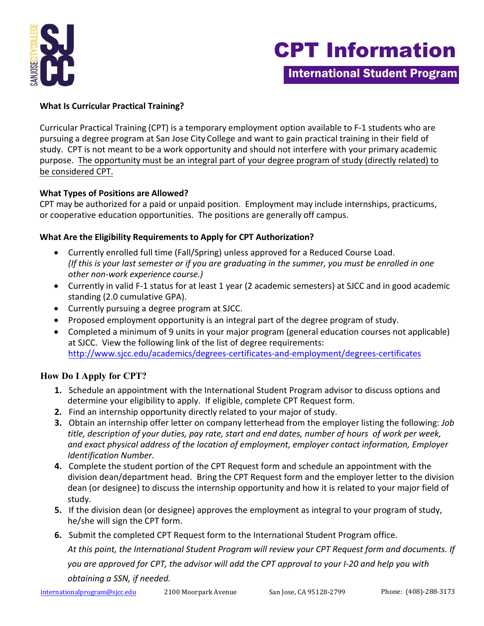

# CPT Information

International Student Program

## **What Is Curricular Practical Training?**

 Curricular Practical Training (CPT) is a temporary employment option available to F-1 students who are pursuing a degree program at San Jose City College and want to gain practical training in their field of study. CPT is not meant to be a work opportunity and should not interfere with your primary academic purpose. The opportunity must be an integral part of your degree program of study (directly related) to be considered CPT.

#### **What Types of Positions are Allowed?**

CPT may be authorized for a paid or unpaid position. Employment may include internships, practicums, or cooperative education opportunities. The positions are generally off campus.

### **What Are the Eligibility Requirements to Apply for CPT Authorization?**

- • Currently enrolled full time (Fall/Spring) unless approved for a Reduced Course Load. *(If this is your last semester or if you are graduating in the summer, you must be enrolled in one other non-work experience course.)*
- • Currently in valid F-1 status for at least 1 year (2 academic semesters) at SJCC and in good academic standing (2.0 cumulative GPA).
- Currently pursuing a degree program at SJCC.
- Proposed employment opportunity is an integral part of the degree program of study.
- • Completed a minimum of 9 units in your major program (general education courses not applicable) at SJCC. View the following link of the list of degree requirements: http://www.sjcc.edu/academics/degrees-certificates-and-employment/degrees-certificates

# **How [Do I Apply for CPT?](http://www.sjcc.edu/academics/degrees-certificates-and-employment/degrees-certificates)**

- determine your eligibility to apply. If eligible, complete CPT Request form. **1.** Schedule an appointment with the International Student Program advisor to discuss options and
- **2.** Find an internship opportunity directly related to your major of study.
- **3.** Obtain an internship offer letter on company letterhead from the employer listing the following: *Job title, description of your duties, pay rate, start and end dates, number of hours of work per week, and exact physical address of the location of employment, employer contact information, Employer Identification Number.*
- **4.** Complete the student portion of the CPT Request form and schedule an appointment with the division dean/department head. Bring the CPT Request form and the employer letter to the division dean (or designee) to discuss the internship opportunity and how it is related to your major field of study.
- he/she will sign the CPT form. **5.** If the division dean (or designee) approves the employment as integral to your program of study,
- **6.** Submit the completed CPT Request form to the International Student Program office.

 *At this point, the International Student Program will review your CPT Request form and documents. If you are approved for CPT, the advisor will add the CPT approval to your I-20 and help you with obtaining a SSN, if needed.*